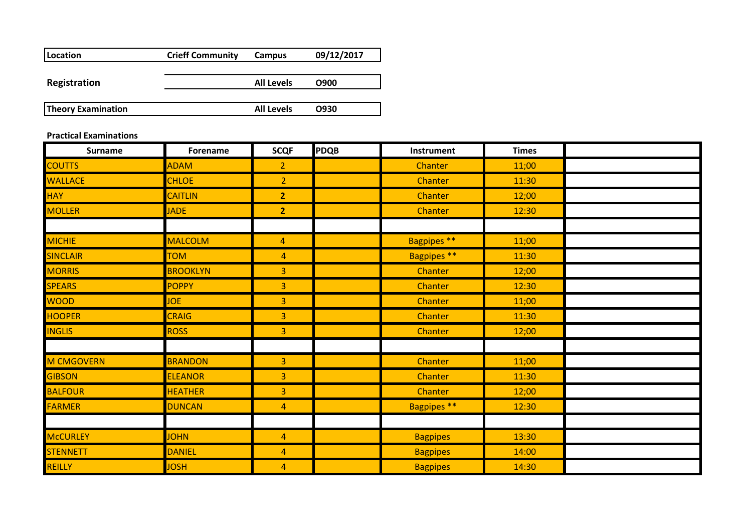| Location                  | <b>Crieff Community</b> | Campus            | 09/12/2017 |
|---------------------------|-------------------------|-------------------|------------|
|                           |                         |                   |            |
| <b>Registration</b>       |                         | <b>All Levels</b> | O900       |
|                           |                         |                   |            |
| <b>Theory Examination</b> |                         | <b>All Levels</b> | O930       |

## **Practical Examinations**

| <b>Surname</b>    | <b>Forename</b> | <b>SCQF</b>    | <b>PDQB</b> | Instrument         | <b>Times</b> |  |
|-------------------|-----------------|----------------|-------------|--------------------|--------------|--|
| <b>COUTTS</b>     | <b>ADAM</b>     | $\overline{2}$ |             | Chanter            | 11;00        |  |
| <b>WALLACE</b>    | <b>CHLOE</b>    | $\overline{2}$ |             | Chanter            | 11:30        |  |
| <b>HAY</b>        | <b>CAITLIN</b>  | $\overline{2}$ |             | Chanter            | 12;00        |  |
| <b>MOLLER</b>     | <b>JADE</b>     | $\overline{2}$ |             | Chanter            | 12:30        |  |
|                   |                 |                |             |                    |              |  |
| <b>MICHIE</b>     | <b>MALCOLM</b>  | $\overline{4}$ |             | Bagpipes **        | 11;00        |  |
| <b>SINCLAIR</b>   | <b>TOM</b>      | $\overline{4}$ |             | Bagpipes **        | 11:30        |  |
| <b>MORRIS</b>     | <b>BROOKLYN</b> | 3              |             | Chanter            | 12;00        |  |
| <b>SPEARS</b>     | <b>POPPY</b>    | 3              |             | Chanter            | 12:30        |  |
| <b>WOOD</b>       | <b>JOE</b>      | 3              |             | Chanter            | 11;00        |  |
| <b>HOOPER</b>     | <b>CRAIG</b>    | 3              |             | Chanter            | 11:30        |  |
| <b>INGLIS</b>     | <b>ROSS</b>     | 3              |             | Chanter            | 12;00        |  |
|                   |                 |                |             |                    |              |  |
| <b>M CMGOVERN</b> | <b>BRANDON</b>  | 3              |             | Chanter            | 11;00        |  |
| <b>GIBSON</b>     | <b>ELEANOR</b>  | 3              |             | Chanter            | 11:30        |  |
| <b>BALFOUR</b>    | <b>HEATHER</b>  | 3              |             | Chanter            | 12;00        |  |
| <b>FARMER</b>     | <b>DUNCAN</b>   | $\overline{4}$ |             | <b>Bagpipes **</b> | 12:30        |  |
|                   |                 |                |             |                    |              |  |
| <b>McCURLEY</b>   | <b>JOHN</b>     | $\overline{4}$ |             | <b>Bagpipes</b>    | 13:30        |  |
| <b>STENNETT</b>   | <b>DANIEL</b>   | $\overline{4}$ |             | <b>Bagpipes</b>    | 14:00        |  |
| REILLY            | <b>JOSH</b>     | $\overline{4}$ |             | <b>Bagpipes</b>    | 14:30        |  |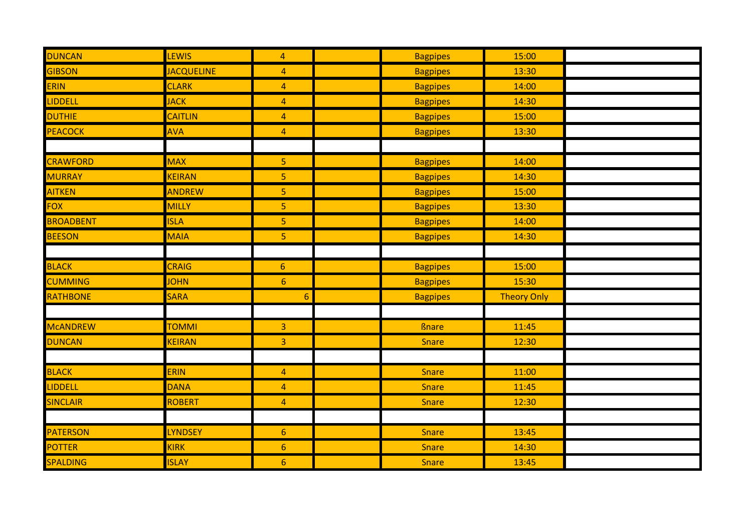| <b>DUNCAN</b>    | <b>LEWIS</b>      | $\overline{4}$   | <b>Bagpipes</b> | 15:00              |  |
|------------------|-------------------|------------------|-----------------|--------------------|--|
| GIBSON           | <b>JACQUELINE</b> | $\overline{4}$   | <b>Bagpipes</b> | 13:30              |  |
| ERIN             | <b>CLARK</b>      | $\overline{4}$   | <b>Bagpipes</b> | 14:00              |  |
| <b>LIDDELL</b>   | <b>JACK</b>       | $\overline{4}$   | <b>Bagpipes</b> | 14:30              |  |
| <b>DUTHIE</b>    | <b>CAITLIN</b>    | $\overline{4}$   | <b>Bagpipes</b> | 15:00              |  |
| PEACOCK          | <b>AVA</b>        | $\overline{4}$   | <b>Bagpipes</b> | 13:30              |  |
|                  |                   |                  |                 |                    |  |
| <b>CRAWFORD</b>  | <b>MAX</b>        | $\overline{5}$   | <b>Bagpipes</b> | 14:00              |  |
| <b>MURRAY</b>    | <b>KEIRAN</b>     | 5                | <b>Bagpipes</b> | 14:30              |  |
| <b>AITKEN</b>    | <b>ANDREW</b>     | $\overline{5}$   | <b>Bagpipes</b> | 15:00              |  |
| <b>FOX</b>       | MILLY             | $\overline{5}$   | <b>Bagpipes</b> | 13:30              |  |
| <b>BROADBENT</b> | <b>ISLA</b>       | 5                | <b>Bagpipes</b> | 14:00              |  |
| <b>BEESON</b>    | <b>MAIA</b>       | $\overline{5}$   | <b>Bagpipes</b> | 14:30              |  |
|                  |                   |                  |                 |                    |  |
| <b>BLACK</b>     | <b>CRAIG</b>      | $6\phantom{a}$   | <b>Bagpipes</b> | 15:00              |  |
| <b>CUMMING</b>   | <b>JOHN</b>       | $\boldsymbol{6}$ | <b>Bagpipes</b> | 15:30              |  |
| <b>RATHBONE</b>  | <b>SARA</b>       | 6                | <b>Bagpipes</b> | <b>Theory Only</b> |  |
|                  |                   |                  |                 |                    |  |
| <b>MCANDREW</b>  | <b>TOMMI</b>      | $\overline{3}$   | <b>Bnare</b>    | 11:45              |  |
| <b>DUNCAN</b>    | <b>KEIRAN</b>     | $\overline{3}$   | <b>Snare</b>    | 12:30              |  |
|                  |                   |                  |                 |                    |  |
| <b>BLACK</b>     | <b>ERIN</b>       | $\overline{4}$   | <b>Snare</b>    | 11:00              |  |
| <b>LIDDELL</b>   | <b>DANA</b>       | $\overline{4}$   | <b>Snare</b>    | 11:45              |  |
| <b>SINCLAIR</b>  | <b>ROBERT</b>     | $\overline{4}$   | <b>Snare</b>    | 12:30              |  |
|                  |                   |                  |                 |                    |  |
| <b>PATERSON</b>  | <b>LYNDSEY</b>    | $6\phantom{1}$   | <b>Snare</b>    | 13:45              |  |
| <b>POTTER</b>    | <b>KIRK</b>       | $6\phantom{1}$   | Snare           | 14:30              |  |
| SPALDING         | <b>ISLAY</b>      | $6 \overline{6}$ | <b>Snare</b>    | 13:45              |  |